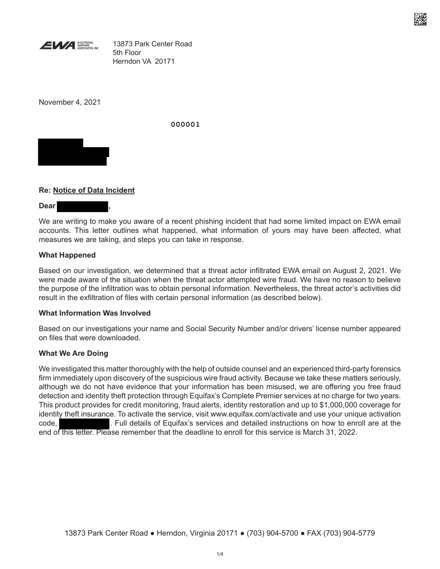

13873 Park Center Road 5th Floor Herndon VA 20171

November 4, 2021

**000001**



# **Re: Notice of Data Incident**

**Dear ,**

We are writing to make you aware of a recent phishing incident that had some limited impact on EWA email accounts. This letter outlines what happened, what information of yours may have been affected, what measures we are taking, and steps you can take in response.

### **What Happened**

Based on our investigation, we determined that a threat actor infiltrated EWA email on August 2, 2021. We were made aware of the situation when the threat actor attempted wire fraud. We have no reason to believe the purpose of the infiltration was to obtain personal information. Nevertheless, the threat actor's activities did result in the exfiltration of files with certain personal information (as described below).

### **What Information Was Involved**

Based on our investigations your name and Social Security Number and/or drivers' license number appeared on files that were downloaded.

### **What We Are Doing**

We investigated this matter thoroughly with the help of outside counsel and an experienced third-party forensics firm immediately upon discovery of the suspicious wire fraud activity. Because we take these matters seriously, although we do not have evidence that your information has been misused, we are offering you free fraud detection and identity theft protection through Equifax's Complete Premier services at no charge for two years. This product provides for credit monitoring, fraud alerts, identity restoration and up to \$1,000,000 coverage for identity theft insurance. To activate the service, visit www.equifax.com/activate and use your unique activation code, . Full details of Equifax's services and detailed instructions on how to enroll are at the end of this letter. Please remember that the deadline to enroll for this service is March 31, 2022.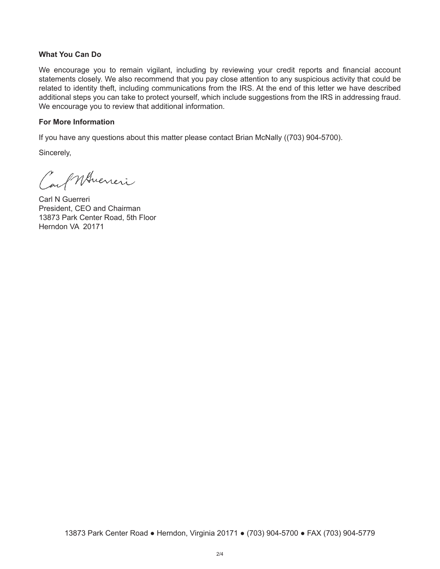#### **What You Can Do**

We encourage you to remain vigilant, including by reviewing your credit reports and financial account statements closely. We also recommend that you pay close attention to any suspicious activity that could be related to identity theft, including communications from the IRS. At the end of this letter we have described additional steps you can take to protect yourself, which include suggestions from the IRS in addressing fraud. We encourage you to review that additional information.

#### **For More Information**

If you have any questions about this matter please contact Brian McNally ((703) 904-5700).

Sincerely,

Carl Whieren

Carl N Guerreri President, CEO and Chairman 13873 Park Center Road, 5th Floor Herndon VA 20171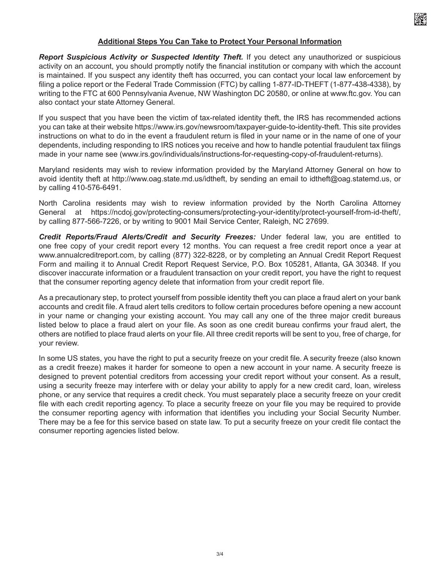

## **Additional Steps You Can Take to Protect Your Personal Information**

*Report Suspicious Activity or Suspected Identity Theft.* If you detect any unauthorized or suspicious activity on an account, you should promptly notify the financial institution or company with which the account is maintained. If you suspect any identity theft has occurred, you can contact your local law enforcement by filing a police report or the Federal Trade Commission (FTC) by calling 1-877-ID-THEFT (1-877-438-4338), by writing to the FTC at 600 Pennsylvania Avenue, NW Washington DC 20580, or online at www.ftc.gov. You can also contact your state Attorney General.

If you suspect that you have been the victim of tax-related identity theft, the IRS has recommended actions you can take at their website https://www.irs.gov/newsroom/taxpayer-guide-to-identity-theft. This site provides instructions on what to do in the event a fraudulent return is filed in your name or in the name of one of your dependents, including responding to IRS notices you receive and how to handle potential fraudulent tax filings made in your name see (www.irs.gov/individuals/instructions-for-requesting-copy-of-fraudulent-returns).

Maryland residents may wish to review information provided by the Maryland Attorney General on how to avoid identity theft at http://www.oag.state.md.us/idtheft, by sending an email to idtheft@oag.statemd.us, or by calling 410-576-6491.

North Carolina residents may wish to review information provided by the North Carolina Attorney General at https://ncdoj.gov/protecting-consumers/protecting-your-identity/protect-yourself-from-id-theft/, by calling 877-566-7226, or by writing to 9001 Mail Service Center, Raleigh, NC 27699.

*Credit Reports/Fraud Alerts/Credit and Security Freezes:* Under federal law, you are entitled to one free copy of your credit report every 12 months. You can request a free credit report once a year at www.annualcreditreport.com, by calling (877) 322-8228, or by completing an Annual Credit Report Request Form and mailing it to Annual Credit Report Request Service, P.O. Box 105281, Atlanta, GA 30348. If you discover inaccurate information or a fraudulent transaction on your credit report, you have the right to request that the consumer reporting agency delete that information from your credit report file.

As a precautionary step, to protect yourself from possible identity theft you can place a fraud alert on your bank accounts and credit file. A fraud alert tells creditors to follow certain procedures before opening a new account in your name or changing your existing account. You may call any one of the three major credit bureaus listed below to place a fraud alert on your file. As soon as one credit bureau confirms your fraud alert, the others are notified to place fraud alerts on your file. All three credit reports will be sent to you, free of charge, for your review.

In some US states, you have the right to put a security freeze on your credit file. A security freeze (also known as a credit freeze) makes it harder for someone to open a new account in your name. A security freeze is designed to prevent potential creditors from accessing your credit report without your consent. As a result, using a security freeze may interfere with or delay your ability to apply for a new credit card, loan, wireless phone, or any service that requires a credit check. You must separately place a security freeze on your credit file with each credit reporting agency. To place a security freeze on your file you may be required to provide the consumer reporting agency with information that identifies you including your Social Security Number. There may be a fee for this service based on state law. To put a security freeze on your credit file contact the consumer reporting agencies listed below.